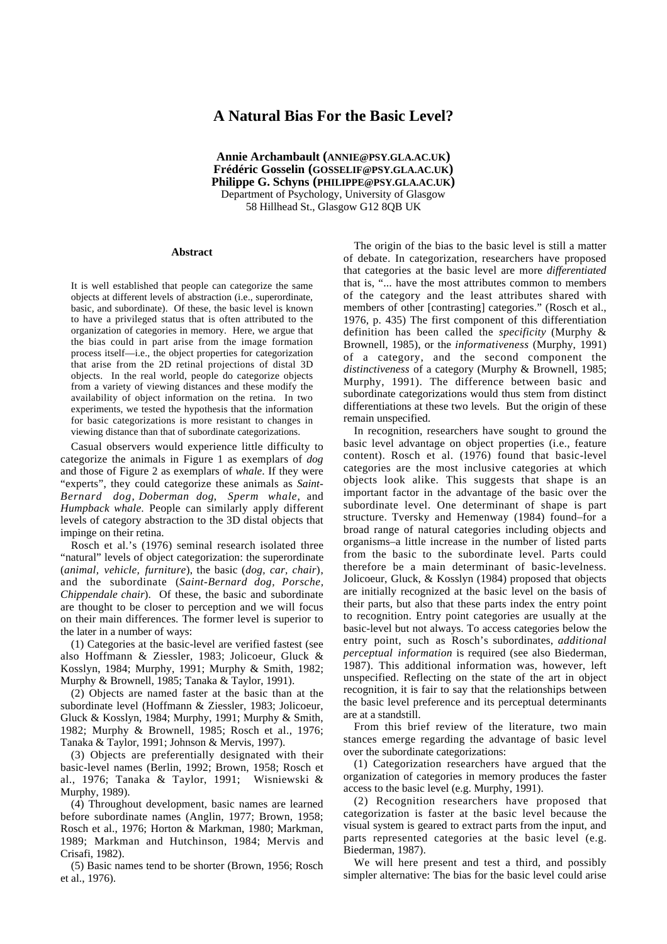# **A Natural Bias For the Basic Level?**

**Annie Archambault (ANNIE@PSY.GLA.AC.UK) Frédéric Gosselin (GOSSELIF@PSY.GLA.AC.UK) Philippe G. Schyns (PHILIPPE@PSY.GLA.AC.UK)** Department of Psychology, University of Glasgow 58 Hillhead St., Glasgow G12 8QB UK

#### **Abstract**

It is well established that people can categorize the same objects at different levels of abstraction (i.e., superordinate, basic, and subordinate). Of these, the basic level is known to have a privileged status that is often attributed to the organization of categories in memory. Here, we argue that the bias could in part arise from the image formation process itself—i.e., the object properties for categorization that arise from the 2D retinal projections of distal 3D objects. In the real world, people do categorize objects from a variety of viewing distances and these modify the availability of object information on the retina. In two experiments, we tested the hypothesis that the information for basic categorizations is more resistant to changes in viewing distance than that of subordinate categorizations.

Casual observers would experience little difficulty to categorize the animals in Figure 1 as exemplars of *dog* and those of Figure 2 as exemplars of *whale*. If they were "experts", they could categorize these animals as *Saint-Bernard dog*, *Doberman dog*, *Sperm whale*, and *Humpback whale*. People can similarly apply different levels of category abstraction to the 3D distal objects that impinge on their retina.

Rosch et al.'s (1976) seminal research isolated three "natural" levels of object categorization: the superordinate (*animal, vehicle, furniture*), the basic (*dog, car, chair*), and the subordinate (*Saint-Bernard dog, Porsche, Chippendale chair*). Of these, the basic and subordinate are thought to be closer to perception and we will focus on their main differences. The former level is superior to the later in a number of ways:

(1) Categories at the basic-level are verified fastest (see also Hoffmann & Ziessler, 1983; Jolicoeur, Gluck & Kosslyn, 1984; Murphy, 1991; Murphy & Smith, 1982; Murphy & Brownell, 1985; Tanaka & Taylor, 1991).

(2) Objects are named faster at the basic than at the subordinate level (Hoffmann & Ziessler, 1983; Jolicoeur, Gluck & Kosslyn, 1984; Murphy, 1991; Murphy & Smith, 1982; Murphy & Brownell, 1985; Rosch et al., 1976; Tanaka & Taylor, 1991; Johnson & Mervis, 1997).

(3) Objects are preferentially designated with their basic-level names (Berlin, 1992; Brown, 1958; Rosch et al., 1976; Tanaka & Taylor, 1991; Wisniewski & Murphy, 1989).

(4) Throughout development, basic names are learned before subordinate names (Anglin, 1977; Brown, 1958; Rosch et al., 1976; Horton & Markman, 1980; Markman, 1989; Markman and Hutchinson, 1984; Mervis and Crisafi, 1982).

(5) Basic names tend to be shorter (Brown, 1956; Rosch et al., 1976).

The origin of the bias to the basic level is still a matter of debate. In categorization, researchers have proposed that categories at the basic level are more *differentiated* that is, "... have the most attributes common to members of the category and the least attributes shared with members of other [contrasting] categories." (Rosch et al., 1976, p. 435) The first component of this differentiation definition has been called the *specificity* (Murphy & Brownell, 1985), or the *informativeness* (Murphy, 1991) of a category, and the second component the *distinctiveness* of a category (Murphy & Brownell, 1985; Murphy, 1991). The difference between basic and subordinate categorizations would thus stem from distinct differentiations at these two levels. But the origin of these remain unspecified.

In recognition, researchers have sought to ground the basic level advantage on object properties (i.e., feature content). Rosch et al. (1976) found that basic-level categories are the most inclusive categories at which objects look alike. This suggests that shape is an important factor in the advantage of the basic over the subordinate level. One determinant of shape is part structure. Tversky and Hemenway (1984) found–for a broad range of natural categories including objects and organisms–a little increase in the number of listed parts from the basic to the subordinate level. Parts could therefore be a main determinant of basic-levelness. Jolicoeur, Gluck, & Kosslyn (1984) proposed that objects are initially recognized at the basic level on the basis of their parts, but also that these parts index the entry point to recognition. Entry point categories are usually at the basic-level but not always. To access categories below the entry point, such as Rosch's subordinates, *additional perceptual information* is required (see also Biederman, 1987). This additional information was, however, left unspecified. Reflecting on the state of the art in object recognition, it is fair to say that the relationships between the basic level preference and its perceptual determinants are at a standstill.

From this brief review of the literature, two main stances emerge regarding the advantage of basic level over the subordinate categorizations:

(1) Categorization researchers have argued that the organization of categories in memory produces the faster access to the basic level (e.g. Murphy, 1991).

(2) Recognition researchers have proposed that categorization is faster at the basic level because the visual system is geared to extract parts from the input, and parts represented categories at the basic level (e.g. Biederman, 1987).

We will here present and test a third, and possibly simpler alternative: The bias for the basic level could arise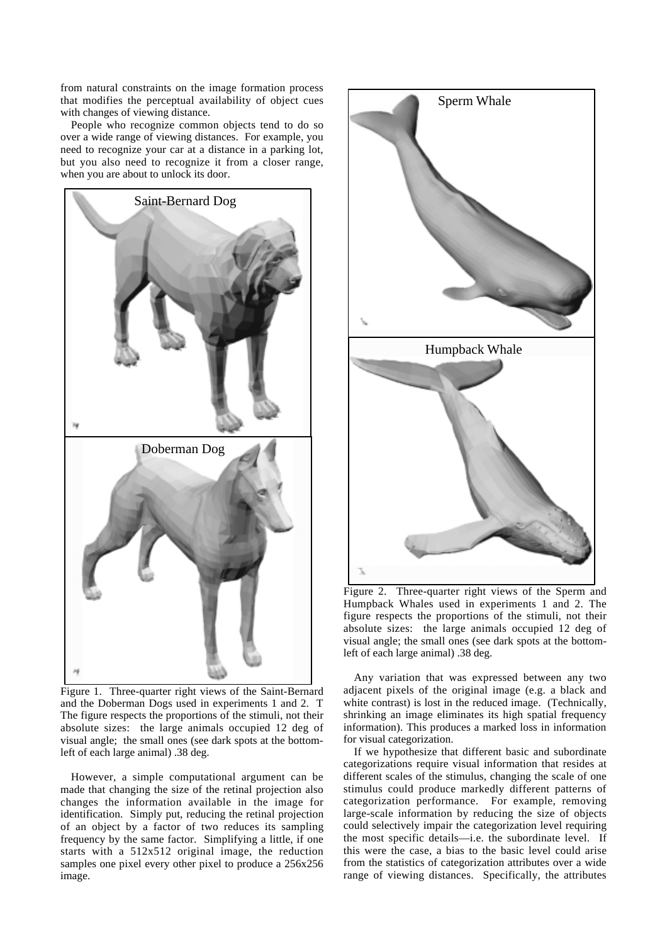from natural constraints on the image formation process that modifies the perceptual availability of object cues with changes of viewing distance.

People who recognize common objects tend to do so over a wide range of viewing distances. For example, you need to recognize your car at a distance in a parking lot, but you also need to recognize it from a closer range, when you are about to unlock its door.



Figure 1. Three-quarter right views of the Saint-Bernard and the Doberman Dogs used in experiments 1 and 2. T The figure respects the proportions of the stimuli, not their absolute sizes: the large animals occupied 12 deg of visual angle; the small ones (see dark spots at the bottomleft of each large animal) .38 deg.

However, a simple computational argument can be made that changing the size of the retinal projection also changes the information available in the image for identification. Simply put, reducing the retinal projection of an object by a factor of two reduces its sampling frequency by the same factor. Simplifying a little, if one starts with a 512x512 original image, the reduction samples one pixel every other pixel to produce a 256x256 image.



Figure 2. Three-quarter right views of the Sperm and Humpback Whales used in experiments 1 and 2. The figure respects the proportions of the stimuli, not their absolute sizes: the large animals occupied 12 deg of visual angle; the small ones (see dark spots at the bottomleft of each large animal) .38 deg.

Any variation that was expressed between any two adjacent pixels of the original image (e.g. a black and white contrast) is lost in the reduced image. (Technically, shrinking an image eliminates its high spatial frequency information). This produces a marked loss in information for visual categorization.

If we hypothesize that different basic and subordinate categorizations require visual information that resides at different scales of the stimulus, changing the scale of one stimulus could produce markedly different patterns of categorization performance. For example, removing large-scale information by reducing the size of objects could selectively impair the categorization level requiring the most specific details—i.e. the subordinate level. If this were the case, a bias to the basic level could arise from the statistics of categorization attributes over a wide range of viewing distances. Specifically, the attributes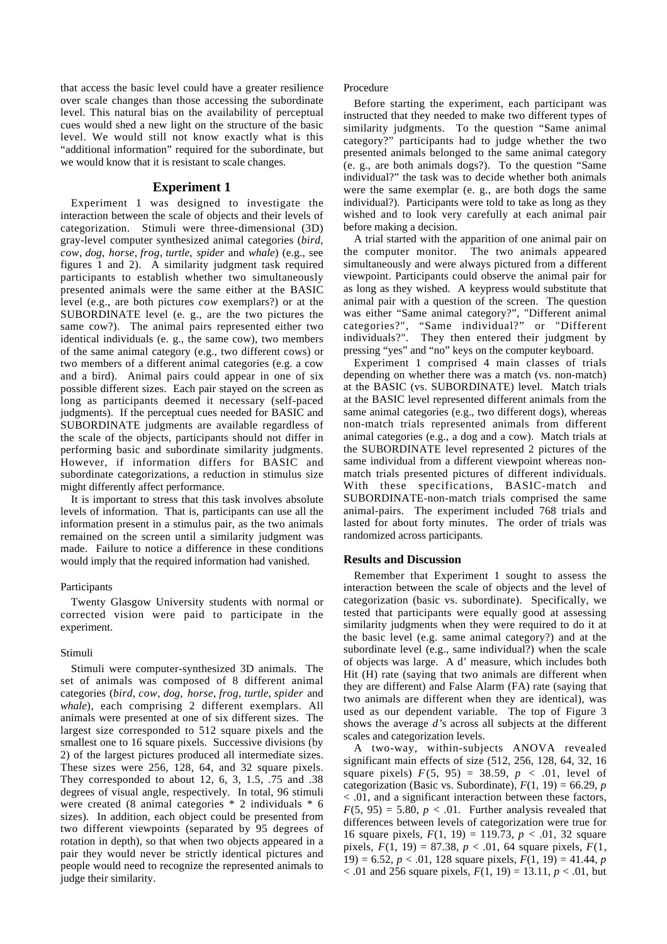that access the basic level could have a greater resilience over scale changes than those accessing the subordinate level. This natural bias on the availability of perceptual cues would shed a new light on the structure of the basic level. We would still not know exactly what is this "additional information" required for the subordinate, but we would know that it is resistant to scale changes.

## **Experiment 1**

Experiment 1 was designed to investigate the interaction between the scale of objects and their levels of categorization. Stimuli were three-dimensional (3D) gray-level computer synthesized animal categories (*bird*, *cow*, *dog*, *horse*, *frog*, *turtle*, *spider* and *whale*) (e.g., see figures 1 and 2). A similarity judgment task required participants to establish whether two simultaneously presented animals were the same either at the BASIC level (e.g., are both pictures *cow* exemplars?) or at the SUBORDINATE level (e. g., are the two pictures the same cow?). The animal pairs represented either two identical individuals (e. g., the same cow), two members of the same animal category (e.g., two different cows) or two members of a different animal categories (e.g. a cow and a bird). Animal pairs could appear in one of six possible different sizes. Each pair stayed on the screen as long as participants deemed it necessary (self-paced judgments). If the perceptual cues needed for BASIC and SUBORDINATE judgments are available regardless of the scale of the objects, participants should not differ in performing basic and subordinate similarity judgments. However, if information differs for BASIC and subordinate categorizations, a reduction in stimulus size might differently affect performance.

It is important to stress that this task involves absolute levels of information. That is, participants can use all the information present in a stimulus pair, as the two animals remained on the screen until a similarity judgment was made. Failure to notice a difference in these conditions would imply that the required information had vanished.

## Participants

Twenty Glasgow University students with normal or corrected vision were paid to participate in the experiment.

#### Stimuli

Stimuli were computer-synthesized 3D animals. The set of animals was composed of 8 different animal categories (*bird*, *cow*, *dog*, *horse*, *frog*, *turtle*, *spider* and *whale*), each comprising 2 different exemplars. All animals were presented at one of six different sizes. The largest size corresponded to 512 square pixels and the smallest one to 16 square pixels. Successive divisions (by 2) of the largest pictures produced all intermediate sizes. These sizes were 256, 128, 64, and 32 square pixels. They corresponded to about 12, 6, 3, 1.5, .75 and .38 degrees of visual angle, respectively. In total, 96 stimuli were created (8 animal categories \* 2 individuals \* 6 sizes). In addition, each object could be presented from two different viewpoints (separated by 95 degrees of rotation in depth), so that when two objects appeared in a pair they would never be strictly identical pictures and people would need to recognize the represented animals to judge their similarity.

Procedure

Before starting the experiment, each participant was instructed that they needed to make two different types of similarity judgments. To the question "Same animal category?" participants had to judge whether the two presented animals belonged to the same animal category (e. g., are both animals dogs?). To the question "Same individual?" the task was to decide whether both animals were the same exemplar (e. g., are both dogs the same individual?). Participants were told to take as long as they wished and to look very carefully at each animal pair before making a decision.

A trial started with the apparition of one animal pair on the computer monitor. The two animals appeared simultaneously and were always pictured from a different viewpoint. Participants could observe the animal pair for as long as they wished. A keypress would substitute that animal pair with a question of the screen. The question was either "Same animal category?", "Different animal categories?", "Same individual?" or "Different individuals?". They then entered their judgment by pressing "yes" and "no" keys on the computer keyboard.

Experiment 1 comprised 4 main classes of trials depending on whether there was a match (vs. non-match) at the BASIC (vs. SUBORDINATE) level. Match trials at the BASIC level represented different animals from the same animal categories (e.g., two different dogs), whereas non-match trials represented animals from different animal categories (e.g., a dog and a cow). Match trials at the SUBORDINATE level represented 2 pictures of the same individual from a different viewpoint whereas nonmatch trials presented pictures of different individuals. With these specifications, BASIC-match and SUBORDINATE-non-match trials comprised the same animal-pairs. The experiment included 768 trials and lasted for about forty minutes. The order of trials was randomized across participants.

#### **Results and Discussion**

Remember that Experiment 1 sought to assess the interaction between the scale of objects and the level of categorization (basic vs. subordinate). Specifically, we tested that participants were equally good at assessing similarity judgments when they were required to do it at the basic level (e.g. same animal category?) and at the subordinate level (e.g., same individual?) when the scale of objects was large. A d' measure, which includes both Hit (H) rate (saying that two animals are different when they are different) and False Alarm (FA) rate (saying that two animals are different when they are identical), was used as our dependent variable. The top of Figure 3 shows the average *d'*s across all subjects at the different scales and categorization levels.

A two-way, within-subjects ANOVA revealed significant main effects of size (512, 256, 128, 64, 32, 16 square pixels)  $F(5, 95) = 38.59, p < .01$ , level of categorization (Basic vs. Subordinate),  $F(1, 19) = 66.29$ , *p* < .01, and a significant interaction between these factors,  $F(5, 95) = 5.80, p < .01$ . Further analysis revealed that differences between levels of categorization were true for 16 square pixels,  $F(1, 19) = 119.73$ ,  $p < .01$ , 32 square pixels,  $F(1, 19) = 87.38$ ,  $p < .01$ , 64 square pixels,  $F(1, 19) = 87.38$ ,  $p < .01$ , 64 square pixels,  $F(1, 19) = .01$ 19) = 6.52, *p* < .01, 128 square pixels, *F*(1, 19) = 41.44, *p* < .01 and 256 square pixels, *F*(1, 19) = 13.11, *p* < .01, but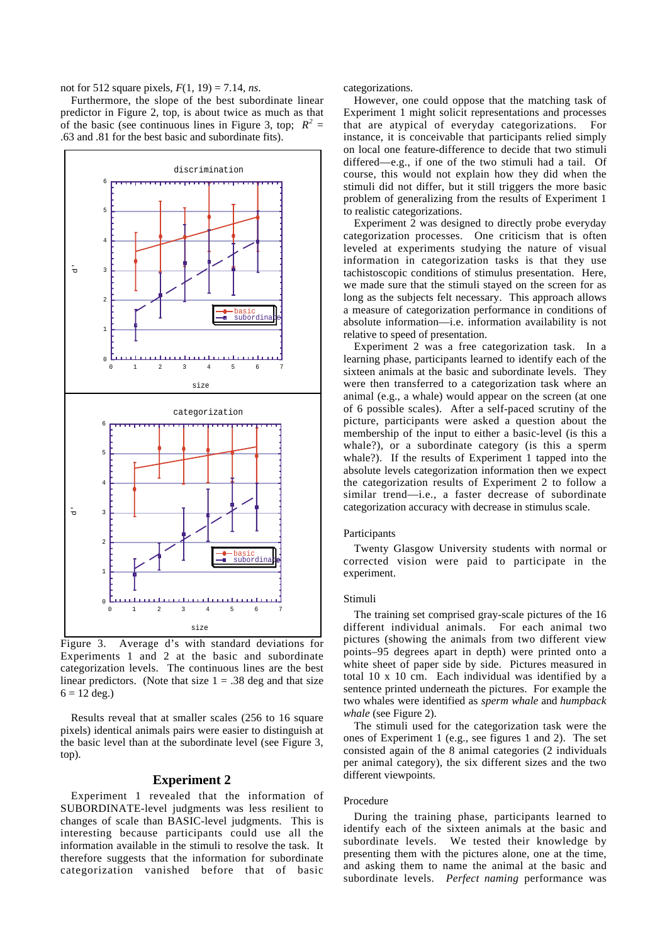not for 512 square pixels, *F*(1, 19) = 7.14, *ns*.

Furthermore, the slope of the best subordinate linear predictor in Figure 2, top, is about twice as much as that of the basic (see continuous lines in Figure 3, top;  $R^2 =$ .63 and .81 for the best basic and subordinate fits).



Figure 3. Average d's with standard deviations for Experiments 1 and 2 at the basic and subordinate categorization levels. The continuous lines are the best linear predictors. (Note that size  $1 = .38$  deg and that size  $6 = 12 \text{ deg.}$ )

Results reveal that at smaller scales (256 to 16 square pixels) identical animals pairs were easier to distinguish at the basic level than at the subordinate level (see Figure 3, top).

## **Experiment 2**

Experiment 1 revealed that the information of SUBORDINATE-level judgments was less resilient to changes of scale than BASIC-level judgments. This is interesting because participants could use all the information available in the stimuli to resolve the task. It therefore suggests that the information for subordinate categorization vanished before that of basic categorizations.

However, one could oppose that the matching task of Experiment 1 might solicit representations and processes that are atypical of everyday categorizations. For instance, it is conceivable that participants relied simply on local one feature-difference to decide that two stimuli differed—e.g., if one of the two stimuli had a tail. Of course, this would not explain how they did when the stimuli did not differ, but it still triggers the more basic problem of generalizing from the results of Experiment 1 to realistic categorizations.

Experiment 2 was designed to directly probe everyday categorization processes. One criticism that is often leveled at experiments studying the nature of visual information in categorization tasks is that they use tachistoscopic conditions of stimulus presentation. Here, we made sure that the stimuli stayed on the screen for as long as the subjects felt necessary. This approach allows a measure of categorization performance in conditions of absolute information—i.e. information availability is not relative to speed of presentation.

Experiment 2 was a free categorization task. In a learning phase, participants learned to identify each of the sixteen animals at the basic and subordinate levels. They were then transferred to a categorization task where an animal (e.g., a whale) would appear on the screen (at one of 6 possible scales). After a self-paced scrutiny of the picture, participants were asked a question about the membership of the input to either a basic-level (is this a whale?), or a subordinate category (is this a sperm whale?). If the results of Experiment 1 tapped into the absolute levels categorization information then we expect the categorization results of Experiment 2 to follow a similar trend—i.e., a faster decrease of subordinate categorization accuracy with decrease in stimulus scale.

## Participants

Twenty Glasgow University students with normal or corrected vision were paid to participate in the experiment.

## Stimuli

The training set comprised gray-scale pictures of the 16 different individual animals. For each animal two pictures (showing the animals from two different view points–95 degrees apart in depth) were printed onto a white sheet of paper side by side. Pictures measured in total 10 x 10 cm. Each individual was identified by a sentence printed underneath the pictures. For example the two whales were identified as *sperm whale* and *humpback whale* (see Figure 2).

The stimuli used for the categorization task were the ones of Experiment 1 (e.g., see figures 1 and 2). The set consisted again of the 8 animal categories (2 individuals per animal category), the six different sizes and the two different viewpoints.

#### Procedure

During the training phase, participants learned to identify each of the sixteen animals at the basic and subordinate levels. We tested their knowledge by presenting them with the pictures alone, one at the time, and asking them to name the animal at the basic and subordinate levels. *Perfect naming* performance was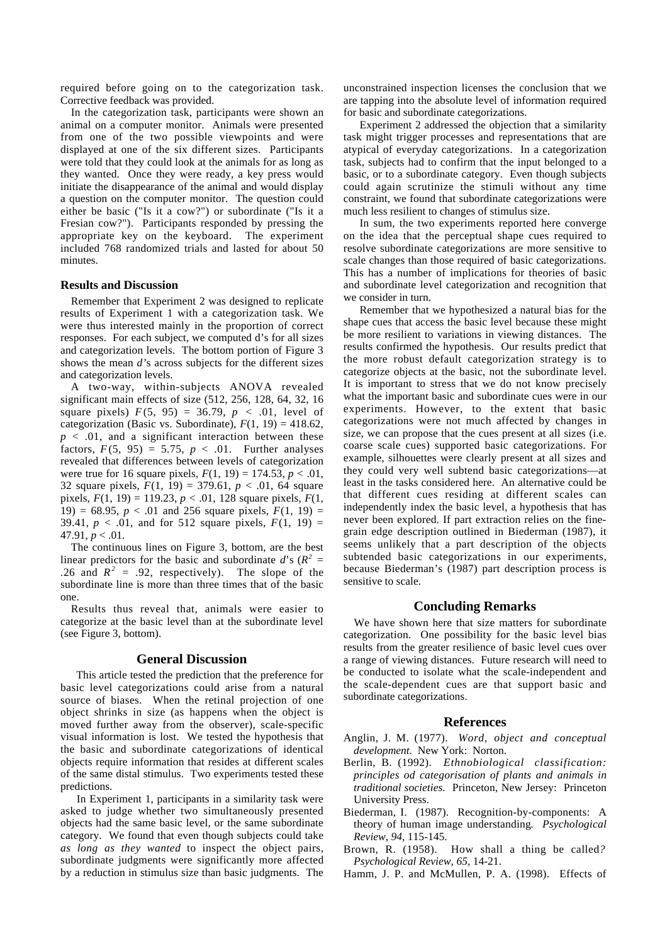required before going on to the categorization task. Corrective feedback was provided.

In the categorization task, participants were shown an animal on a computer monitor. Animals were presented from one of the two possible viewpoints and were displayed at one of the six different sizes. Participants were told that they could look at the animals for as long as they wanted. Once they were ready, a key press would initiate the disappearance of the animal and would display a question on the computer monitor. The question could either be basic ("Is it a cow?") or subordinate ("Is it a Fresian cow?"). Participants responded by pressing the appropriate key on the keyboard. The experiment included 768 randomized trials and lasted for about 50 minutes.

## **Results and Discussion**

Remember that Experiment 2 was designed to replicate results of Experiment 1 with a categorization task. We were thus interested mainly in the proportion of correct responses. For each subject, we computed d's for all sizes and categorization levels. The bottom portion of Figure 3 shows the mean *d'*s across subjects for the different sizes and categorization levels.

A two-way, within-subjects ANOVA revealed significant main effects of size (512, 256, 128, 64, 32, 16 square pixels)  $F(5, 95) = 36.79$ ,  $p < .01$ , level of categorization (Basic vs. Subordinate),  $F(1, 19) = 418.62$ ,  $p < .01$ , and a significant interaction between these factors,  $F(5, 95) = 5.75$ ,  $p < .01$ . Further analyses revealed that differences between levels of categorization were true for 16 square pixels,  $F(1, 19) = 174.53, p < .01$ , 32 square pixels,  $F(1, 19) = 379.61$ ,  $p < .01$ , 64 square pixels, *F*(1, 19) = 119.23, *p* < .01, 128 square pixels, *F*(1, 19) = 68.95,  $p < .01$  and 256 square pixels,  $F(1, 19)$  = 39.41,  $p < .01$ , and for 512 square pixels,  $F(1, 19) =$ 47.91,  $p < .01$ .

The continuous lines on Figure 3, bottom, are the best linear predictors for the basic and subordinate  $d$ 's ( $R^2$  = .26 and  $R^2 = .92$ , respectively). The slope of the subordinate line is more than three times that of the basic one.

Results thus reveal that, animals were easier to categorize at the basic level than at the subordinate level (see Figure 3, bottom).

# **General Discussion**

This article tested the prediction that the preference for basic level categorizations could arise from a natural source of biases. When the retinal projection of one object shrinks in size (as happens when the object is moved further away from the observer), scale-specific visual information is lost. We tested the hypothesis that the basic and subordinate categorizations of identical objects require information that resides at different scales of the same distal stimulus. Two experiments tested these predictions.

In Experiment 1, participants in a similarity task were asked to judge whether two simultaneously presented objects had the same basic level, or the same subordinate category. We found that even though subjects could take *as long as they wanted* to inspect the object pairs, subordinate judgments were significantly more affected by a reduction in stimulus size than basic judgments. The unconstrained inspection licenses the conclusion that we are tapping into the absolute level of information required for basic and subordinate categorizations.

Experiment 2 addressed the objection that a similarity task might trigger processes and representations that are atypical of everyday categorizations. In a categorization task, subjects had to confirm that the input belonged to a basic, or to a subordinate category. Even though subjects could again scrutinize the stimuli without any time constraint, we found that subordinate categorizations were much less resilient to changes of stimulus size.

In sum, the two experiments reported here converge on the idea that the perceptual shape cues required to resolve subordinate categorizations are more sensitive to scale changes than those required of basic categorizations. This has a number of implications for theories of basic and subordinate level categorization and recognition that we consider in turn.

Remember that we hypothesized a natural bias for the shape cues that access the basic level because these might be more resilient to variations in viewing distances. The results confirmed the hypothesis. Our results predict that the more robust default categorization strategy is to categorize objects at the basic, not the subordinate level. It is important to stress that we do not know precisely what the important basic and subordinate cues were in our experiments. However, to the extent that basic categorizations were not much affected by changes in size, we can propose that the cues present at all sizes (i.e. coarse scale cues) supported basic categorizations. For example, silhouettes were clearly present at all sizes and they could very well subtend basic categorizations—at least in the tasks considered here. An alternative could be that different cues residing at different scales can independently index the basic level, a hypothesis that has never been explored. If part extraction relies on the finegrain edge description outlined in Biederman (1987), it seems unlikely that a part description of the objects subtended basic categorizations in our experiments, because Biederman's (1987) part description process is sensitive to scale.

## **Concluding Remarks**

We have shown here that size matters for subordinate categorization. One possibility for the basic level bias results from the greater resilience of basic level cues over a range of viewing distances. Future research will need to be conducted to isolate what the scale-independent and the scale-dependent cues are that support basic and subordinate categorizations.

## **References**

- Anglin, J. M. (1977). *Word, object and conceptual development.* New York: Norton.
- Berlin, B. (1992). *Ethnobiological classification: principles od categorisation of plants and animals in traditional societies.* Princeton, New Jersey: Princeton University Press.
- Biederman, I. (1987). Recognition-by-components: A theory of human image understanding*. Psychological Review*, *94*, 115-145.
- Brown, R. (1958). How shall a thing be called*? Psychological Review*, *65*, 14-21.
- Hamm, J. P. and McMullen, P. A. (1998). Effects of